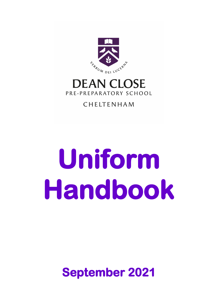

# **DEAN CLOSE** PRE-PREPARATORY SCHOOL

### CHELTENHAM

# **Uniform Handbook**

**September 2021**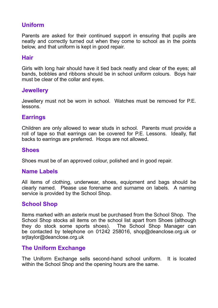#### **Uniform**

Parents are asked for their continued support in ensuring that pupils are neatly and correctly turned out when they come to school as in the points below, and that uniform is kept in good repair.

#### **Hair**

Girls with long hair should have it tied back neatly and clear of the eyes; all bands, bobbles and ribbons should be in school uniform colours. Boys hair must be clear of the collar and eyes.

#### **Jewellery**

Jewellery must not be worn in school. Watches must be removed for P.E. lessons.

#### **Earrings**

Children are only allowed to wear studs in school. Parents must provide a roll of tape so that earrings can be covered for P.E. Lessons. Ideally, flat backs to earrings are preferred. Hoops are not allowed.

#### **Shoes**

Shoes must be of an approved colour, polished and in good repair.

#### **Name Labels**

All items of clothing, underwear, shoes, equipment and bags should be clearly named. Please use forename and surname on labels. A naming service is provided by the School Shop.

#### **School Shop**

Items marked with an asterix must be purchased from the School Shop. The School Shop stocks all items on the school list apart from Shoes (although they do stock some sports shoes). The School Shop Manager can be contacted by telephone on 01242 258016, shop@deanclose.org.uk or srjtaylor@deanclose.org.uk

#### **The Uniform Exchange**

The Uniform Exchange sells second-hand school uniform. It is located within the School Shop and the opening hours are the same.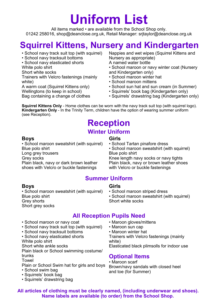# **Uniform List**

All items marked • are available from the School Shop only. 01242 258016, shop@deanclose.org.uk, Retail Manager: srjtaylor@deanclose.org.uk

# **Squirrel Kittens, Nursery and Kindergarten**

- School navy track suit top (with squirrel)
- School navy tracksuit bottoms
- School navy elasticated shorts

White polo shirt

Short white socks

Trainers with Velcro fastenings (mainly white)

A warm coat (Squirrel Kittens only)

Wellingtons (to keep in school)

Bag containing a change of clothes

Nappies and wet wipes (Squirrel Kittens and Nursery as appropriate)

- A named water bottle
- School maroon or navy winter coat (Nursery and Kindergarten only)
- School maroon winter hat
- School maroon mittens
- School sun hat and sun cream (in Summer)
- Squirrels' book bag (Kindergarten only)
- Squirrels' drawstring bag (Kindergarten only)

**Squirrel Kittens Only** - Home clothes can be worn with the navy track suit top (with squirrel logo). **Kindergarten Only** - In the Trinity Term, children have the option of wearing summer uniform (see Reception).

### **Reception Winter Uniform**

**Girls**

**Boys**

• School maroon sweatshirt (with squirrel) Blue polo shirt Long grey trousers Grey socks Plain black, navy or dark brown leather shoes with Velcro or buckle fastenings

• School Tartan pinafore dress • School maroon sweatshirt (with squirrel) Blue polo shirt

Knee length navy socks or navy tights Plain black, navy or brown leather shoes with Velcro or buckle fastenings

#### **Summer Uniform**

#### **Girls**

• School maroon striped dress

• School maroon sweatshirt (with squirrel) Short white socks

#### **Boys**

• School maroon sweatshirt (with squirrel) Blue polo shirt Grey shorts Short grey socks

- School maroon or navy coat
- School navy track suit top (with squirrel)
- School navy tracksuit bottoms
- School navy elasticated shorts White polo shirt

Short white ankle socks

Plain black or School swimming costume/ trunks

#### Towel

- Plain or School Swim hat for girls and boys
- School swim bag
- Squirrels' book bag
- Squirrels' drawstring bag
- **All Reception Pupils Need**
	- Maroon gloves/mittens
	- Maroon sun cap
	- Maroon winter hat

Trainers with Velcro fastenings (mainly white)

Elasticated black plimsolls for indoor use

#### **Optional Items**

• Maroon scarf Brown/navy sandals with closed heel and toe (for Summer)

**All articles of clothing must be clearly named, (including underwear and shoes). Name labels are available (to order) from the School Shop.**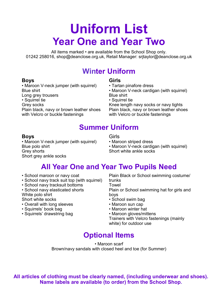# **Uniform List Year One and Year Two**

All items marked • are available from the School Shop only. 01242 258016, shop@deanclose.org.uk, Retail Manager: srjtaylor@deanclose.org.uk

## **Winter Uniform**

#### **Boys**

• Maroon V-neck jumper (with squirrel) Blue shirt Long grey trousers • Squirrel tie Grey socks Plain black, navy or brown leather shoes with Velcro or buckle fastenings

### **Girls**

- Tartan pinafore dress
- Maroon V-neck cardigan (with squirrel) Blue shirt
- Squirrel tie

Knee length navy socks or navy tights Plain black, navy or brown leather shoes with Velcro or buckle fastenings

## **Summer Uniform**

#### **Boys**

• Maroon V-neck jumper (with squirrel) Blue polo shirt Grey shorts Short grey ankle socks

Girls

- Maroon striped dress
- Maroon V-neck cardigan (with squirrel) Short white ankle socks

# **All Year One and Year Two Pupils Need**

- School maroon or navy coat
- School navy track suit top (with squirrel)
- School navy tracksuit bottoms
- School navy elasticated shorts

White polo shirt

- Short white socks
- Overall with long sleeves
- Squirrels' book bag
- Squirrels' drawstring bag

Plain Black or School swimming costume/ trunks

Towel

Plain or School swimming hat for girls and boys

- School swim bag
- Maroon sun cap
- Maroon winter hat
- Maroon gloves/mittens

Trainers with Velcro fastenings (mainly white) for outdoor use

# **Optional Items**

• Maroon scarf Brown/navy sandals with closed heel and toe (for Summer)

**All articles of clothing must be clearly named, (including underwear and shoes). Name labels are available (to order) from the School Shop.**